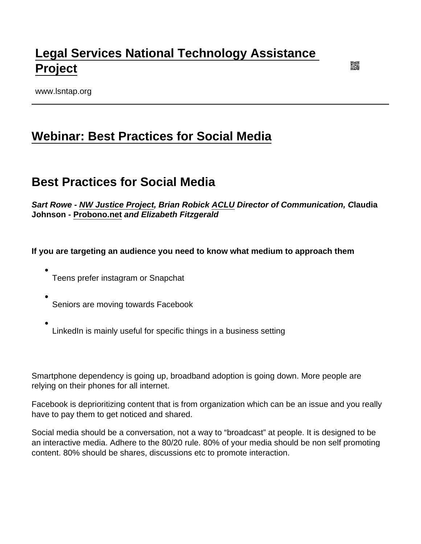# [Legal Services National Technology Assistance](https://www.lsntap.org/)  [Project](https://www.lsntap.org/)

www.lsntap.org

## [Webinar: Best Practices for Social Media](https://www.lsntap.org/node/139/webinar-best-practices-social-media)

## Best Practices for Social Media

Sart Rowe - [NW Justice Project](https://www.nwjustice.org/) , Brian Robick [ACLU](https://www.aclu.org/) Director of Communication, C laudia Johnson - [Probono.net](http://Probono.net) and Elizabeth Fitzgerald

If you are targeting an audience you need to know what medium to approach them

- Teens prefer instagram or Snapchat
- Seniors are moving towards Facebook
- LinkedIn is mainly useful for specific things in a business setting

Smartphone dependency is going up, broadband adoption is going down. More people are relying on their phones for all internet.

Facebook is deprioritizing content that is from organization which can be an issue and you really have to pay them to get noticed and shared.

Social media should be a conversation, not a way to "broadcast" at people. It is designed to be an interactive media. Adhere to the 80/20 rule. 80% of your media should be non self promoting content. 80% should be shares, discussions etc to promote interaction.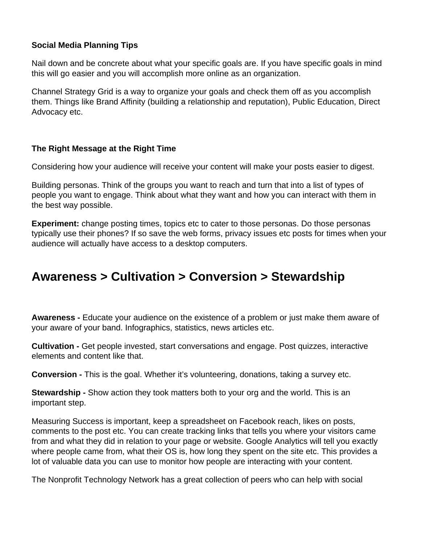#### **Social Media Planning Tips**

Nail down and be concrete about what your specific goals are. If you have specific goals in mind this will go easier and you will accomplish more online as an organization.

Channel Strategy Grid is a way to organize your goals and check them off as you accomplish them. Things like Brand Affinity (building a relationship and reputation), Public Education, Direct Advocacy etc.

#### **The Right Message at the Right Time**

Considering how your audience will receive your content will make your posts easier to digest.

Building personas. Think of the groups you want to reach and turn that into a list of types of people you want to engage. Think about what they want and how you can interact with them in the best way possible.

**Experiment:** change posting times, topics etc to cater to those personas. Do those personas typically use their phones? If so save the web forms, privacy issues etc posts for times when your audience will actually have access to a desktop computers.

## **Awareness > Cultivation > Conversion > Stewardship**

**Awareness -** Educate your audience on the existence of a problem or just make them aware of your aware of your band. Infographics, statistics, news articles etc.

**Cultivation -** Get people invested, start conversations and engage. Post quizzes, interactive elements and content like that.

**Conversion -** This is the goal. Whether it's volunteering, donations, taking a survey etc.

**Stewardship -** Show action they took matters both to your org and the world. This is an important step.

Measuring Success is important, keep a spreadsheet on Facebook reach, likes on posts, comments to the post etc. You can create tracking links that tells you where your visitors came from and what they did in relation to your page or website. Google Analytics will tell you exactly where people came from, what their OS is, how long they spent on the site etc. This provides a lot of valuable data you can use to monitor how people are interacting with your content.

The Nonprofit Technology Network has a great collection of peers who can help with social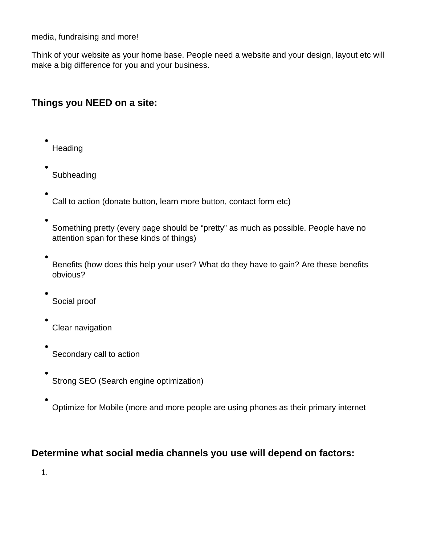media, fundraising and more!

Think of your website as your home base. People need a website and your design, layout etc will make a big difference for you and your business.

### **Things you NEED on a site:**

- **Heading**
- **Subheading**
- Call to action (donate button, learn more button, contact form etc)
- Something pretty (every page should be "pretty" as much as possible. People have no attention span for these kinds of things)
- Benefits (how does this help your user? What do they have to gain? Are these benefits obvious?
- Social proof
- Clear navigation
- Secondary call to action
- Strong SEO (Search engine optimization)
- Optimize for Mobile (more and more people are using phones as their primary internet

### **Determine what social media channels you use will depend on factors:**

1.